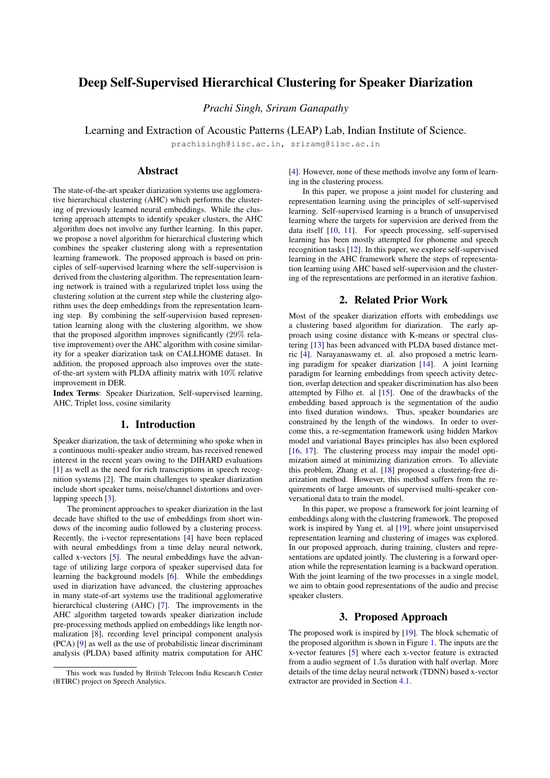# Deep Self-Supervised Hierarchical Clustering for Speaker Diarization

*Prachi Singh, Sriram Ganapathy*

Learning and Extraction of Acoustic Patterns (LEAP) Lab, Indian Institute of Science.

prachisingh@iisc.ac.in, sriramg@iisc.ac.in

## Abstract

The state-of-the-art speaker diarization systems use agglomerative hierarchical clustering (AHC) which performs the clustering of previously learned neural embeddings. While the clustering approach attempts to identify speaker clusters, the AHC algorithm does not involve any further learning. In this paper, we propose a novel algorithm for hierarchical clustering which combines the speaker clustering along with a representation learning framework. The proposed approach is based on principles of self-supervised learning where the self-supervision is derived from the clustering algorithm. The representation learning network is trained with a regularized triplet loss using the clustering solution at the current step while the clustering algorithm uses the deep embeddings from the representation learning step. By combining the self-supervision based representation learning along with the clustering algorithm, we show that the proposed algorithm improves significantly (29% relative improvement) over the AHC algorithm with cosine similarity for a speaker diarization task on CALLHOME dataset. In addition, the proposed approach also improves over the stateof-the-art system with PLDA affinity matrix with 10% relative improvement in DER.

Index Terms: Speaker Diarization, Self-supervised learning, AHC, Triplet loss, cosine similarity

## 1. Introduction

Speaker diarization, the task of determining who spoke when in a continuous multi-speaker audio stream, has received renewed interest in the recent years owing to the DIHARD evaluations [\[1\]](#page-4-0) as well as the need for rich transcriptions in speech recognition systems [\[2\]](#page-4-1). The main challenges to speaker diarization include short speaker turns, noise/channel distortions and overlapping speech [\[3\]](#page-4-2).

The prominent approaches to speaker diarization in the last decade have shifted to the use of embeddings from short windows of the incoming audio followed by a clustering process. Recently, the i-vector representations [\[4\]](#page-4-3) have been replaced with neural embeddings from a time delay neural network, called x-vectors [\[5\]](#page-4-4). The neural embeddings have the advantage of utilizing large corpora of speaker supervised data for learning the background models [\[6\]](#page-4-5). While the embeddings used in diarization have advanced, the clustering approaches in many state-of-art systems use the traditional agglomerative hierarchical clustering (AHC) [\[7\]](#page-4-6). The improvements in the AHC algorithm targeted towards speaker diarization include pre-processing methods applied on embeddings like length normalization [\[8\]](#page-4-7), recording level principal component analysis (PCA) [\[9\]](#page-4-8) as well as the use of probabilistic linear discriminant analysis (PLDA) based affinity matrix computation for AHC

[\[4\]](#page-4-3). However, none of these methods involve any form of learning in the clustering process.

In this paper, we propose a joint model for clustering and representation learning using the principles of self-supervised learning. Self-supervised learning is a branch of unsupervised learning where the targets for supervision are derived from the data itself [\[10,](#page-4-9) [11\]](#page-4-10). For speech processing, self-supervised learning has been mostly attempted for phoneme and speech recognition tasks [\[12\]](#page-4-11). In this paper, we explore self-supervised learning in the AHC framework where the steps of representation learning using AHC based self-supervision and the clustering of the representations are performed in an iterative fashion.

## 2. Related Prior Work

Most of the speaker diarization efforts with embeddings use a clustering based algorithm for diarization. The early approach using cosine distance with K-means or spectral clustering [\[13\]](#page-4-12) has been advanced with PLDA based distance metric [\[4\]](#page-4-3). Narayanaswamy et. al. also proposed a metric learning paradigm for speaker diarization [\[14\]](#page-4-13). A joint learning paradigm for learning embeddings from speech activity detection, overlap detection and speaker discrimination has also been attempted by Filho et. al [\[15\]](#page-4-14). One of the drawbacks of the embedding based approach is the segmentation of the audio into fixed duration windows. Thus, speaker boundaries are constrained by the length of the windows. In order to overcome this, a re-segmentation framework using hidden Markov model and variational Bayes principles has also been explored [\[16,](#page-4-15) [17\]](#page-4-16). The clustering process may impair the model optimization aimed at minimizing diarization errors. To alleviate this problem, Zhang et al. [\[18\]](#page-4-17) proposed a clustering-free diarization method. However, this method suffers from the requirements of large amounts of supervised multi-speaker conversational data to train the model.

In this paper, we propose a framework for joint learning of embeddings along with the clustering framework. The proposed work is inspired by Yang et. al [\[19\]](#page-4-18), where joint unsupervised representation learning and clustering of images was explored. In our proposed approach, during training, clusters and representations are updated jointly. The clustering is a forward operation while the representation learning is a backward operation. With the joint learning of the two processes in a single model, we aim to obtain good representations of the audio and precise speaker clusters.

## 3. Proposed Approach

The proposed work is inspired by [\[19\]](#page-4-18). The block schematic of the proposed algorithm is shown in Figure [1.](#page-1-0) The inputs are the x-vector features [\[5\]](#page-4-4) where each x-vector feature is extracted from a audio segment of 1.5s duration with half overlap. More details of the time delay neural network (TDNN) based x-vector extractor are provided in Section [4.1.](#page-2-0)

This work was funded by British Telecom India Research Center (BTIRC) project on Speech Analytics.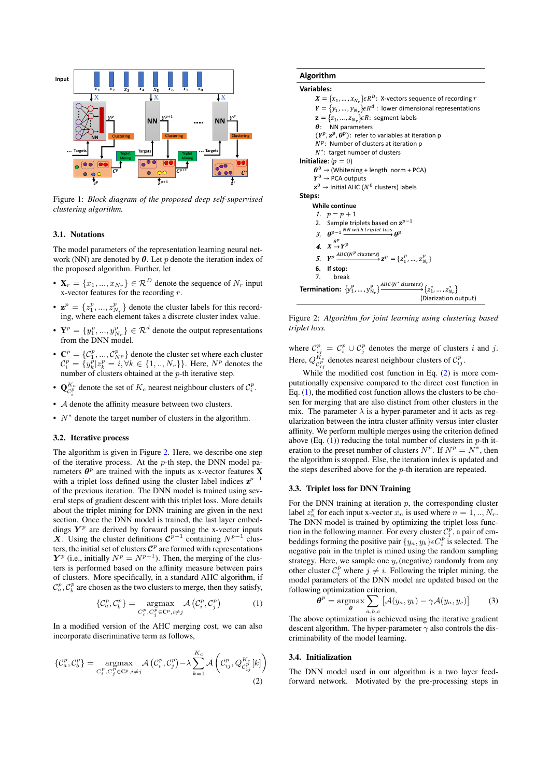<span id="page-1-0"></span>

Figure 1: *Block diagram of the proposed deep self-supervised clustering algorithm.*

#### 3.1. Notations

The model parameters of the representation learning neural network (NN) are denoted by  $\theta$ . Let p denote the iteration index of the proposed algorithm. Further, let

- $\mathbf{X}_r = \{x_1, ..., x_{N_r}\} \in \mathcal{R}^D$  denote the sequence of  $N_r$  input x-vector features for the recording r.
- $\mathbf{z}^p = \{z_1^p, ..., z_{N_r}^p\}$  denote the cluster labels for this recording, where each element takes a discrete cluster index value.
- $Y^p = \{y_1^p, ..., y_{N_r}^p\} \in \mathcal{R}^d$  denote the output representations from the DNN model.
- $\mathbf{C}^p = \{C_1^p, ..., C_{NP}^p\}$  denote the cluster set where each cluster  $\mathcal{C}_i^p = \{y_k^p | z_k^p = i, \forall k \in \{1, ..., N_r\}\}\.$  Here,  $N^p$  denotes the number of clusters obtained at the p-th iterative step.
- $\mathbf{Q}_{\mathcal{C}_i^p}^{K_c}$  denote the set of  $K_c$  nearest neighbour clusters of  $\mathcal{C}_i^p$ .
- A denote the affinity measure between two clusters.
- $N^*$  denote the target number of clusters in the algorithm.

### 3.2. Iterative process

The algorithm is given in Figure [2.](#page-1-1) Here, we describe one step of the iterative process. At the  $p$ -th step, the DNN model parameters  $\theta^p$  are trained with the inputs as x-vector features **X** with a triplet loss defined using the cluster label indices  $z^{p-1}$ of the previous iteration. The DNN model is trained using several steps of gradient descent with this triplet loss. More details about the triplet mining for DNN training are given in the next section. Once the DNN model is trained, the last layer embeddings  $Y^p$  are derived by forward passing the x-vector inputs X. Using the cluster definitions  $\mathcal{C}^{p-1}$  containing  $N^{p-1}$  clusters, the initial set of clusters  $\mathcal{C}^p$  are formed with representations  $Y^p$  (i.e., initially  $N^p = N^{p-1}$ ). Then, the merging of the clusters is performed based on the affinity measure between pairs of clusters. More specifically, in a standard AHC algorithm, if  $C_a^p$ ,  $C_b^p$  are chosen as the two clusters to merge, then they satisfy,

<span id="page-1-3"></span>
$$
\{\mathcal{C}_{a}^{p}, \mathcal{C}_{b}^{p}\} = \underset{C_{i}^{p}, C_{j}^{p} \in \mathbb{C}^{p}, i \neq j}{\operatorname{argmax}} \mathcal{A}\left(\mathcal{C}_{i}^{p}, \mathcal{C}_{j}^{p}\right) \tag{1}
$$

In a modified version of the AHC merging cost, we can also incorporate discriminative term as follows,

<span id="page-1-2"></span>
$$
\{\mathcal{C}_{a}^{p}, \mathcal{C}_{b}^{p}\} = \underset{C_{i}^{p}, C_{j}^{p} \in \mathbb{C}^{p}, i \neq j}{\operatorname{argmax}} \mathcal{A}\left(\mathcal{C}_{i}^{p}, \mathcal{C}_{j}^{p}\right) - \lambda \sum_{k=1}^{K_{c}} \mathcal{A}\left(\mathcal{C}_{ij}^{p}, Q_{\mathcal{C}_{ij}^{p}}^{K_{c}}[k]\right)
$$
\n(2)

## <span id="page-1-1"></span>**Algorithm**

```
Variables:
```
 $\boldsymbol{X} = \{x_1, ..., x_{N_r}\} \epsilon R^D$ : X-vectors sequence of recording  $r$  $\boldsymbol{Y} = \{y_1, ..., y_{N_T}\} \epsilon R^d$  : lower dimensional representations  $\mathbf{z} = \{z_1, ..., z_{N_r}\}\epsilon R$ : segment labels  $\theta$ : NN parameters  $(Y^p, z^p, \theta^p)$ : refer to variables at iteration p  $N^p$ : Number of clusters at iteration p  $N^*$ : target number of clusters **Initialize:**  $(n = 0)$  $\theta^0 \rightarrow$  (Whitening + length norm + PCA)  $Y^0 \rightarrow$  PCA outputs  $z^0$   $\rightarrow$  Initial AHC ( $N^0$  clusters) labels **Steps: While continue** 1.  $p = p + 1$ 2. Sample triplets based on  $z^{p-1}$ 3.  $\theta^{p-1} \xrightarrow{NN with triplet loss} \theta^p$ 4.  $X \stackrel{\theta^p}{\rightarrow} Y^p$ 5.  $Y^p \xrightarrow{AHC(N^p \text{ clusters})} \mathbf{z}^p = \{z_1^p, ..., z_{N_r}^p\}$ **6. If stop:** 7. break **Termination:**  $\{y_1^P, ..., y_{N_r}^P\}$  $P_{N_r}$   $\xrightarrow{AHC(N^* clusters)} \{z_1^*, \ldots, z_{N_r}^*\}$ (Diarization output)

Figure 2: *Algorithm for joint learning using clustering based triplet loss.*

where  $\mathcal{C}_{ij}^p = \mathcal{C}_i^p \cup \mathcal{C}_j^p$  denotes the merge of clusters i and j. Here,  $Q_{\mathcal{C}_{ij}^p}^{K_c}$  denotes nearest neighbour clusters of  $\mathcal{C}_{ij}^p$ .

While the modified cost function in Eq. [\(2\)](#page-1-2) is more computationally expensive compared to the direct cost function in Eq. [\(1\)](#page-1-3), the modified cost function allows the clusters to be chosen for merging that are also distinct from other clusters in the mix. The parameter  $\lambda$  is a hyper-parameter and it acts as regularization between the intra cluster affinity versus inter cluster affinity. We perform multiple merges using the criterion defined above (Eq.  $(1)$ ) reducing the total number of clusters in p-th iteration to the preset number of clusters  $N^p$ . If  $N^p = N^*$ , then the algorithm is stopped. Else, the iteration index is updated and the steps described above for the p-th iteration are repeated.

#### 3.3. Triplet loss for DNN Training

For the DNN training at iteration  $p$ , the corresponding cluster label  $z_n^p$  for each input x-vector  $x_n$  is used where  $n = 1, ..., N_r$ . The DNN model is trained by optimizing the triplet loss function in the following manner. For every cluster  $\mathcal{C}_i^{\hat{p}}$ , a pair of embeddings forming the positive pair  $\{y_a, y_b\} \epsilon C_i^p$  is selected. The negative pair in the triplet is mined using the random sampling strategy. Here, we sample one  $y_c$ (negative) randomly from any other cluster  $C_j^p$  where  $j \neq i$ . Following the triplet mining, the model parameters of the DNN model are updated based on the following optimization criterion,

<span id="page-1-4"></span>
$$
\boldsymbol{\theta}^{p} = \operatorname*{argmax}_{\boldsymbol{\theta}} \sum_{a,b,c} \left[ \mathcal{A}(y_a, y_b) - \gamma \mathcal{A}(y_a, y_c) \right]
$$
(3)

The above optimization is achieved using the iterative gradient descent algorithm. The hyper-parameter  $\gamma$  also controls the discriminability of the model learning.

#### 3.4. Initialization

The DNN model used in our algorithm is a two layer feedforward network. Motivated by the pre-processing steps in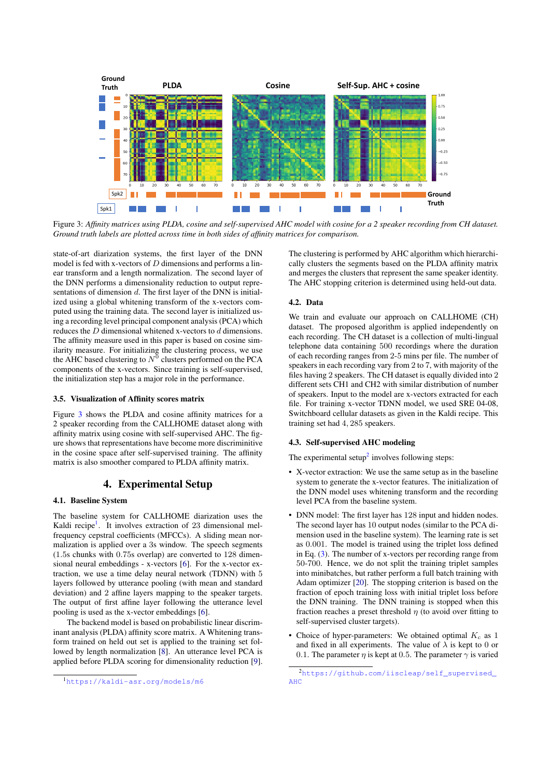<span id="page-2-1"></span>

Figure 3: *Affinity matrices using PLDA, cosine and self-supervised AHC model with cosine for a 2 speaker recording from CH dataset. Ground truth labels are plotted across time in both sides of affinity matrices for comparison.*

state-of-art diarization systems, the first layer of the DNN model is fed with x-vectors of  $D$  dimensions and performs a linear transform and a length normalization. The second layer of the DNN performs a dimensionality reduction to output representations of dimension d. The first layer of the DNN is initialized using a global whitening transform of the x-vectors computed using the training data. The second layer is initialized using a recording level principal component analysis (PCA) which reduces the D dimensional whitened x-vectors to d dimensions. The affinity measure used in this paper is based on cosine similarity measure. For initializing the clustering process, we use the AHC based clustering to  $N^0$  clusters performed on the PCA components of the x-vectors. Since training is self-supervised, the initialization step has a major role in the performance.

### 3.5. Visualization of Affinity scores matrix

Figure [3](#page-2-1) shows the PLDA and cosine affinity matrices for a 2 speaker recording from the CALLHOME dataset along with affinity matrix using cosine with self-supervised AHC. The figure shows that representations have become more discriminitive in the cosine space after self-supervised training. The affinity matrix is also smoother compared to PLDA affinity matrix.

## 4. Experimental Setup

## <span id="page-2-0"></span>4.1. Baseline System

The baseline system for CALLHOME diarization uses the Kaldi recipe<sup>[1](#page-2-2)</sup>. It involves extraction of 23 dimensional melfrequency cepstral coefficients (MFCCs). A sliding mean normalization is applied over a 3s window. The speech segments (1.5s chunks with 0.75s overlap) are converted to 128 dimensional neural embeddings - x-vectors [\[6\]](#page-4-5). For the x-vector extraction, we use a time delay neural network (TDNN) with 5 layers followed by utterance pooling (with mean and standard deviation) and 2 affine layers mapping to the speaker targets. The output of first affine layer following the utterance level pooling is used as the x-vector embeddings [\[6\]](#page-4-5).

The backend model is based on probabilistic linear discriminant analysis (PLDA) affinity score matrix. A Whitening transform trained on held out set is applied to the training set followed by length normalization [\[8\]](#page-4-7). An utterance level PCA is applied before PLDA scoring for dimensionality reduction [\[9\]](#page-4-8).

The clustering is performed by AHC algorithm which hierarchically clusters the segments based on the PLDA affinity matrix and merges the clusters that represent the same speaker identity. The AHC stopping criterion is determined using held-out data.

#### 4.2. Data

We train and evaluate our approach on CALLHOME (CH) dataset. The proposed algorithm is applied independently on each recording. The CH dataset is a collection of multi-lingual telephone data containing 500 recordings where the duration of each recording ranges from 2-5 mins per file. The number of speakers in each recording vary from 2 to 7, with majority of the files having 2 speakers. The CH dataset is equally divided into 2 different sets CH1 and CH2 with similar distribution of number of speakers. Input to the model are x-vectors extracted for each file. For training x-vector TDNN model, we used SRE 04-08, Switchboard cellular datasets as given in the Kaldi recipe. This training set had 4, 285 speakers.

### 4.3. Self-supervised AHC modeling

The experimental setup<sup>[2](#page-2-3)</sup> involves following steps:

- X-vector extraction: We use the same setup as in the baseline system to generate the x-vector features. The initialization of the DNN model uses whitening transform and the recording level PCA from the baseline system.
- DNN model: The first layer has 128 input and hidden nodes. The second layer has 10 output nodes (similar to the PCA dimension used in the baseline system). The learning rate is set as 0.001. The model is trained using the triplet loss defined in Eq. [\(3\)](#page-1-4). The number of x-vectors per recording range from 50-700. Hence, we do not split the training triplet samples into minibatches, but rather perform a full batch training with Adam optimizer [\[20\]](#page-4-19). The stopping criterion is based on the fraction of epoch training loss with initial triplet loss before the DNN training. The DNN training is stopped when this fraction reaches a preset threshold  $\eta$  (to avoid over fitting to self-supervised cluster targets).
- Choice of hyper-parameters: We obtained optimal  $K_c$  as 1 and fixed in all experiments. The value of  $\lambda$  is kept to 0 or 0.1. The parameter  $\eta$  is kept at 0.5. The parameter  $\gamma$  is varied

<span id="page-2-2"></span><sup>1</sup><https://kaldi-asr.org/models/m6>

<span id="page-2-3"></span><sup>2</sup>[https://github.com/iiscleap/self\\_supervised\\_](https://github.com/iiscleap/self_supervised_AHC) [AHC](https://github.com/iiscleap/self_supervised_AHC)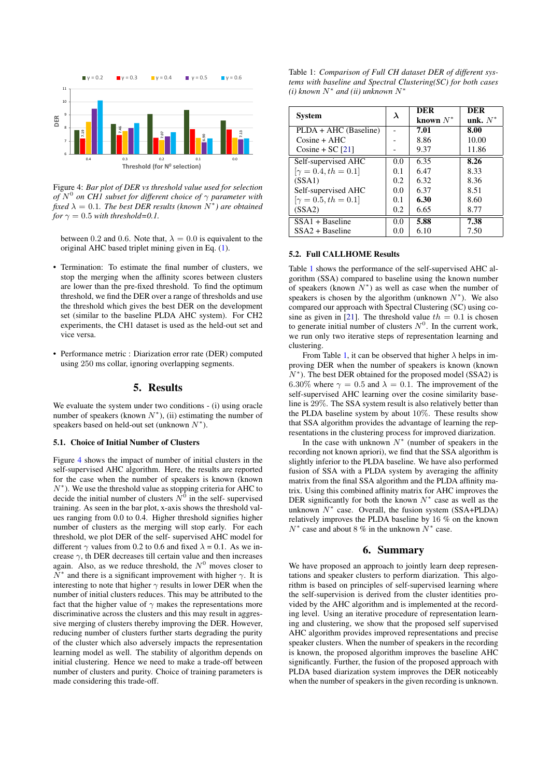<span id="page-3-0"></span>

Figure 4: *Bar plot of DER vs threshold value used for selection of* N 0 *on CH1 subset for different choice of* γ *parameter with*  $\int$ *fixed*  $\lambda = 0.1$ *. The best DER results (known*  $N^*$ ) are obtained *for*  $\gamma = 0.5$  *with threshold*=0.1.

between 0.2 and 0.6. Note that,  $\lambda = 0.0$  is equivalent to the original AHC based triplet mining given in Eq. [\(1\)](#page-1-3).

- Termination: To estimate the final number of clusters, we stop the merging when the affinity scores between clusters are lower than the pre-fixed threshold. To find the optimum threshold, we find the DER over a range of thresholds and use the threshold which gives the best DER on the development set (similar to the baseline PLDA AHC system). For CH2 experiments, the CH1 dataset is used as the held-out set and vice versa.
- Performance metric : Diarization error rate (DER) computed using 250 ms collar, ignoring overlapping segments.

### 5. Results

We evaluate the system under two conditions - (i) using oracle number of speakers (known  $N^*$ ), (ii) estimating the number of speakers based on held-out set (unknown  $N^*$ ).

#### 5.1. Choice of Initial Number of Clusters

Figure [4](#page-3-0) shows the impact of number of initial clusters in the self-supervised AHC algorithm. Here, the results are reported for the case when the number of speakers is known (known  $N^*$ ). We use the threshold value as stopping criteria for AHC to decide the initial number of clusters  $N^0$  in the self-supervised training. As seen in the bar plot, x-axis shows the threshold values ranging from 0.0 to 0.4. Higher threshold signifies higher number of clusters as the merging will stop early. For each threshold, we plot DER of the self- supervised AHC model for different  $\gamma$  values from 0.2 to 0.6 and fixed  $\lambda = 0.1$ . As we increase  $\gamma$ , th DER decreases till certain value and then increases again. Also, as we reduce threshold, the  $N^0$  moves closer to  $N^*$  and there is a significant improvement with higher  $\gamma$ . It is interesting to note that higher  $\gamma$  results in lower DER when the number of initial clusters reduces. This may be attributed to the fact that the higher value of  $\gamma$  makes the representations more discriminative across the clusters and this may result in aggressive merging of clusters thereby improving the DER. However, reducing number of clusters further starts degrading the purity of the cluster which also adversely impacts the representation learning model as well. The stability of algorithm depends on initial clustering. Hence we need to make a trade-off between number of clusters and purity. Choice of training parameters is made considering this trade-off.

<span id="page-3-1"></span>Table 1: *Comparison of Full CH dataset DER of different systems with baseline and Spectral Clustering(SC) for both cases*  $(i)$  known  $N^*$  and  $(ii)$  unknown  $N^*$ 

| <b>System</b>              | $\lambda$     | DER         | <b>DER</b> |
|----------------------------|---------------|-------------|------------|
|                            |               | known $N^*$ | unk. $N^*$ |
| PLDA + AHC (Baseline)      |               | 7.01        | 8.00       |
| $Cosine + AHC$             |               | 8.86        | 10.00      |
| Cosine + SC $[21]$         |               | 9.37        | 11.86      |
| Self-supervised AHC        | 0.0           | 6.35        | 8.26       |
| $[\gamma = 0.4, th = 0.1]$ | 0.1           | 6.47        | 8.33       |
| (SSA1)                     | $0.2^{\circ}$ | 6.32        | 8.36       |
| Self-supervised AHC        | 0.0           | 6.37        | 8.51       |
| $[\gamma = 0.5, th = 0.1]$ | 0.1           | 6.30        | 8.60       |
| (SSA2)                     | 0.2           | 6.65        | 8.77       |
| $SSA1 + Baseline$          | 0.0           | 5.88        | 7.38       |
| $SSA2 + Baseline$          | 0.0           | 6.10        | 7.50       |

#### 5.2. Full CALLHOME Results

Table [1](#page-3-1) shows the performance of the self-supervised AHC algorithm (SSA) compared to baseline using the known number of speakers (known  $N^*$ ) as well as case when the number of speakers is chosen by the algorithm (unknown  $N^*$ ). We also compared our approach with Spectral Clustering (SC) using co-sine as given in [\[21\]](#page-4-20). The threshold value  $th = 0.1$  is chosen to generate initial number of clusters  $N^0$ . In the current work, we run only two iterative steps of representation learning and clustering.

From Table [1,](#page-3-1) it can be observed that higher  $\lambda$  helps in improving DER when the number of speakers is known (known  $N^*$ ). The best DER obtained for the proposed model (SSA2) is 6.30% where  $\gamma = 0.5$  and  $\lambda = 0.1$ . The improvement of the self-supervised AHC learning over the cosine similarity baseline is 29%. The SSA system result is also relatively better than the PLDA baseline system by about 10%. These results show that SSA algorithm provides the advantage of learning the representations in the clustering process for improved diarization.

In the case with unknown  $N^*$  (number of speakers in the recording not known apriori), we find that the SSA algorithm is slightly inferior to the PLDA baseline. We have also performed fusion of SSA with a PLDA system by averaging the affinity matrix from the final SSA algorithm and the PLDA affinity matrix. Using this combined affinity matrix for AHC improves the DER significantly for both the known  $N^*$  case as well as the unknown  $N^*$  case. Overall, the fusion system (SSA+PLDA) relatively improves the PLDA baseline by 16 % on the known  $N^*$  case and about 8 % in the unknown  $N^*$  case.

### 6. Summary

We have proposed an approach to jointly learn deep representations and speaker clusters to perform diarization. This algorithm is based on principles of self-supervised learning where the self-supervision is derived from the cluster identities provided by the AHC algorithm and is implemented at the recording level. Using an iterative procedure of representation learning and clustering, we show that the proposed self supervised AHC algorithm provides improved representations and precise speaker clusters. When the number of speakers in the recording is known, the proposed algorithm improves the baseline AHC significantly. Further, the fusion of the proposed approach with PLDA based diarization system improves the DER noticeably when the number of speakers in the given recording is unknown.